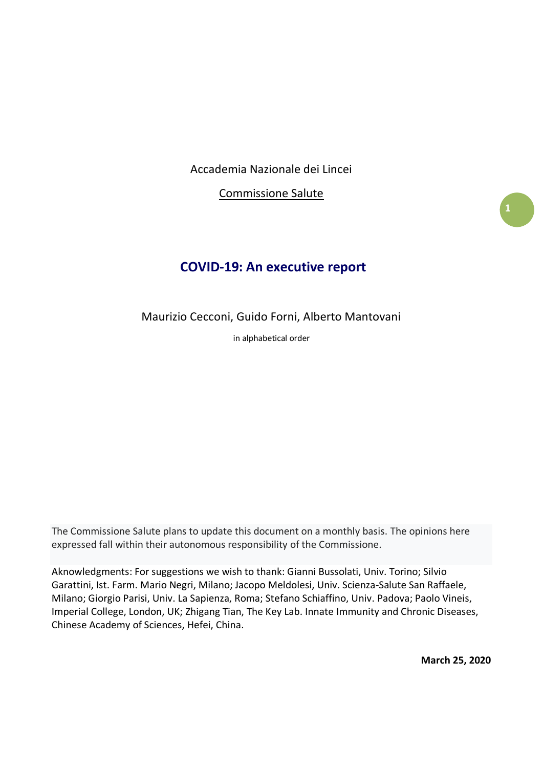Accademia Nazionale dei Lincei

Commissione Salute

# **COVID-19: An executive report**

Maurizio Cecconi, Guido Forni, Alberto Mantovani

in alphabetical order

The Commissione Salute plans to update this document on a monthly basis. The opinions here expressed fall within their autonomous responsibility of the Commissione.

Aknowledgments: For suggestions we wish to thank: Gianni Bussolati, Univ. Torino; Silvio Garattini, Ist. Farm. Mario Negri, Milano; Jacopo Meldolesi, Univ. Scienza-Salute San Raffaele, Milano; Giorgio Parisi, Univ. La Sapienza, Roma; Stefano Schiaffino, Univ. Padova; Paolo Vineis, Imperial College, London, UK; Zhigang Tian, The Key Lab. Innate Immunity and Chronic Diseases, Chinese Academy of Sciences, Hefei, China.

**March 25, 2020**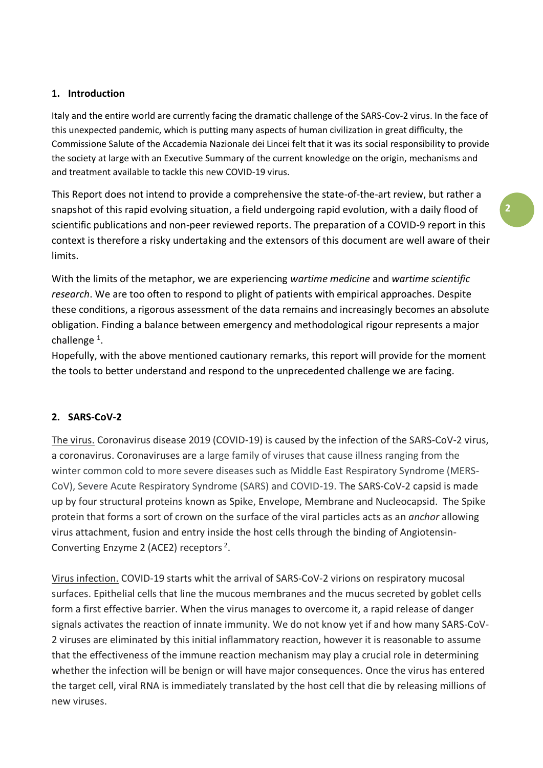### **1. Introduction**

Italy and the entire world are currently facing the dramatic challenge of the SARS-Cov-2 virus. In the face of this unexpected pandemic, which is putting many aspects of human civilization in great difficulty, the Commissione Salute of the Accademia Nazionale dei Lincei felt that it was its social responsibility to provide the society at large with an Executive Summary of the current knowledge on the origin, mechanisms and and treatment available to tackle this new COVID-19 virus.

This Report does not intend to provide a comprehensive the state-of-the-art review, but rather a snapshot of this rapid evolving situation, a field undergoing rapid evolution, with a daily flood of scientific publications and non-peer reviewed reports. The preparation of a COVID-9 report in this context is therefore a risky undertaking and the extensors of this document are well aware of their limits.

With the limits of the metaphor, we are experiencing *wartime medicine* and *wartime scientific research*. We are too often to respond to plight of patients with empirical approaches. Despite these conditions, a rigorous assessment of the data remains and increasingly becomes an absolute obligation. Finding a balance between emergency and methodological rigour represents a major challenge<sup>1</sup>.

Hopefully, with the above mentioned cautionary remarks, this report will provide for the moment the tools to better understand and respond to the unprecedented challenge we are facing.

# **2. SARS-CoV-2**

The virus. Coronavirus disease 2019 (COVID-19) is caused by the infection of the SARS-CoV-2 virus, a coronavirus. Coronaviruses are a large family of viruses that cause illness ranging from the winter common cold to more severe diseases such as Middle East Respiratory Syndrome (MERS-CoV), Severe Acute Respiratory Syndrome (SARS) and COVID-19. The SARS-CoV-2 capsid is made up by four structural proteins known as Spike, Envelope, Membrane and Nucleocapsid. The Spike protein that forms a sort of crown on the surface of the viral particles acts as an *anchor* allowing virus attachment, fusion and entry inside the host cells through the binding of Angiotensin-Converting Enzyme 2 (ACE2) receptors<sup>2</sup>.

Virus infection. COVID-19 starts whit the arrival of SARS-CoV-2 virions on respiratory mucosal surfaces. Epithelial cells that line the mucous membranes and the mucus secreted by goblet cells form a first effective barrier. When the virus manages to overcome it, a rapid release of danger signals activates the reaction of innate immunity. We do not know yet if and how many SARS-CoV-2 viruses are eliminated by this initial inflammatory reaction, however it is reasonable to assume that the effectiveness of the immune reaction mechanism may play a crucial role in determining whether the infection will be benign or will have major consequences. Once the virus has entered the target cell, viral RNA is immediately translated by the host cell that die by releasing millions of new viruses.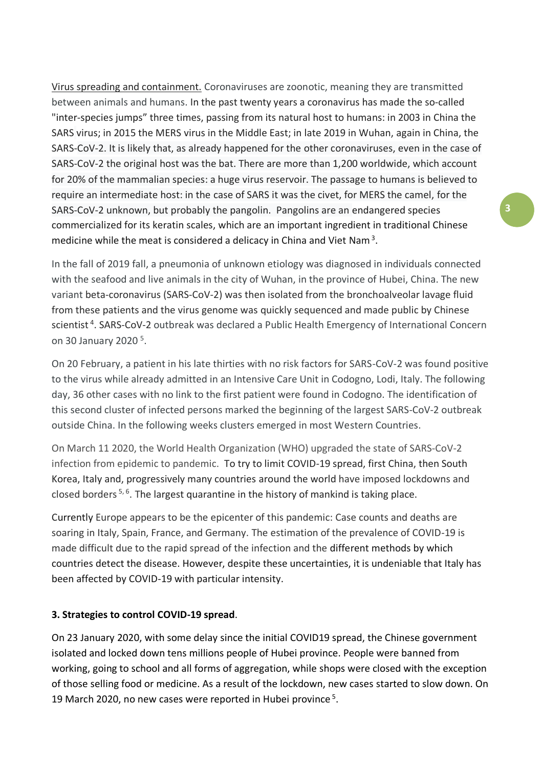Virus spreading and containment. Coronaviruses are zoonotic, meaning they are transmitted between animals and humans. In the past twenty years a coronavirus has made the so-called "inter-species jumps" three times, passing from its natural host to humans: in 2003 in China the SARS virus; in 2015 the MERS virus in the Middle East; in late 2019 in Wuhan, again in China, the SARS-CoV-2. It is likely that, as already happened for the other coronaviruses, even in the case of SARS-CoV-2 the original host was the bat. There are more than 1,200 worldwide, which account for 20% of the mammalian species: a huge virus reservoir. The passage to humans is believed to require an intermediate host: in the case of SARS it was the civet, for MERS the camel, for the SARS-CoV-2 unknown, but probably the pangolin. Pangolins are an endangered species commercialized for its keratin scales, which are an important ingredient in traditional Chinese medicine while the meat is considered a delicacy in China and Viet Nam<sup>3</sup>.

In the fall of 2019 fall, a pneumonia of unknown etiology was diagnosed in individuals connected with the seafood and live animals in the city of Wuhan, in the province of Hubei, China. The new variant beta-coronavirus (SARS-CoV-2) was then isolated from the bronchoalveolar lavage fluid from these patients and the virus genome was quickly sequenced and made public by Chinese scientist<sup>4</sup>. SARS-CoV-2 outbreak was declared a Public Health Emergency of International Concern on 30 January 2020<sup>5</sup>.

On 20 February, a patient in his late thirties with no risk factors for SARS-CoV-2 was found positive to the virus while already admitted in an Intensive Care Unit in Codogno, Lodi, Italy. The following day, 36 other cases with no link to the first patient were found in Codogno. The identification of this second cluster of infected persons marked the beginning of the largest SARS-CoV-2 outbreak outside China. In the following weeks clusters emerged in most Western Countries.

On March 11 2020, the World Health Organization (WHO) upgraded the state of SARS-CoV-2 infection from epidemic to pandemic. To try to limit COVID-19 spread, first China, then South Korea, Italy and, progressively many countries around the world have imposed lockdowns and closed borders<sup>5,6</sup>. The largest quarantine in the history of mankind is taking place.

Currently Europe appears to be the epicenter of this pandemic: Case counts and deaths are soaring in Italy, Spain, France, and Germany. The estimation of the prevalence of COVID-19 is made difficult due to the rapid spread of the infection and the different methods by which countries detect the disease. However, despite these uncertainties, it is undeniable that Italy has been affected by COVID-19 with particular intensity.

# **3. Strategies to control COVID-19 spread**.

On 23 January 2020, with some delay since the initial COVID19 spread, the Chinese government isolated and locked down tens millions people of Hubei province. People were banned from working, going to school and all forms of aggregation, while shops were closed with the exception of those selling food or medicine. As a result of the lockdown, new cases started to slow down. On 19 March 2020, no new cases were reported in Hubei province<sup>5</sup>.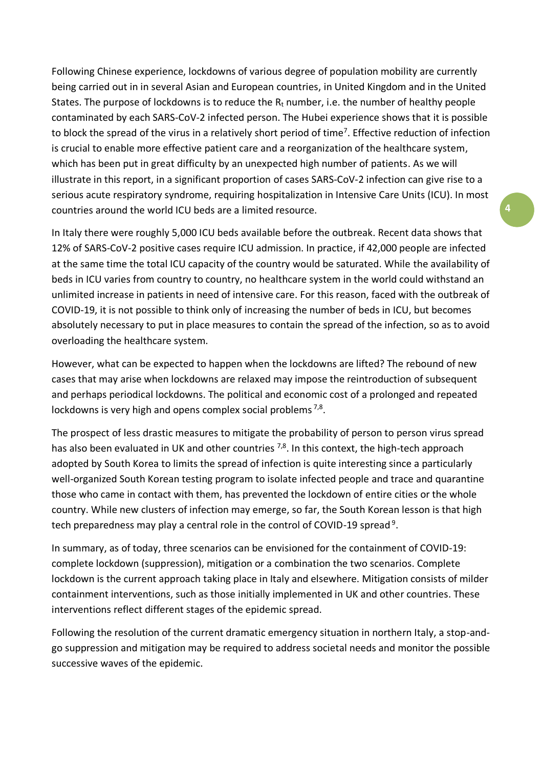Following Chinese experience, lockdowns of various degree of population mobility are currently being carried out in in several Asian and European countries, in United Kingdom and in the United States. The purpose of lockdowns is to reduce the  $R_t$  number, i.e. the number of healthy people contaminated by each SARS-CoV-2 infected person. The Hubei experience shows that it is possible to block the spread of the virus in a relatively short period of time<sup>7</sup>. Effective reduction of infection is crucial to enable more effective patient care and a reorganization of the healthcare system, which has been put in great difficulty by an unexpected high number of patients. As we will illustrate in this report, in a significant proportion of cases SARS-CoV-2 infection can give rise to a serious acute respiratory syndrome, requiring hospitalization in Intensive Care Units (ICU). In most countries around the world ICU beds are a limited resource.

In Italy there were roughly 5,000 ICU beds available before the outbreak. Recent data shows that 12% of SARS-CoV-2 positive cases require ICU admission. In practice, if 42,000 people are infected at the same time the total ICU capacity of the country would be saturated. While the availability of beds in ICU varies from country to country, no healthcare system in the world could withstand an unlimited increase in patients in need of intensive care. For this reason, faced with the outbreak of COVID-19, it is not possible to think only of increasing the number of beds in ICU, but becomes absolutely necessary to put in place measures to contain the spread of the infection, so as to avoid overloading the healthcare system.

However, what can be expected to happen when the lockdowns are lifted? The rebound of new cases that may arise when lockdowns are relaxed may impose the reintroduction of subsequent and perhaps periodical lockdowns. The political and economic cost of a prolonged and repeated lockdowns is very high and opens complex social problems  $7,8$ .

The prospect of less drastic measures to mitigate the probability of person to person virus spread has also been evaluated in UK and other countries  $^{7,8}$ . In this context, the high-tech approach adopted by South Korea to limits the spread of infection is quite interesting since a particularly well-organized South Korean testing program to isolate infected people and trace and quarantine those who came in contact with them, has prevented the lockdown of entire cities or the whole country. While new clusters of infection may emerge, so far, the South Korean lesson is that high tech preparedness may play a central role in the control of COVID-19 spread<sup>9</sup>.

In summary, as of today, three scenarios can be envisioned for the containment of COVID-19: complete lockdown (suppression), mitigation or a combination the two scenarios. Complete lockdown is the current approach taking place in Italy and elsewhere. Mitigation consists of milder containment interventions, such as those initially implemented in UK and other countries. These interventions reflect different stages of the epidemic spread.

Following the resolution of the current dramatic emergency situation in northern Italy, a stop-andgo suppression and mitigation may be required to address societal needs and monitor the possible successive waves of the epidemic.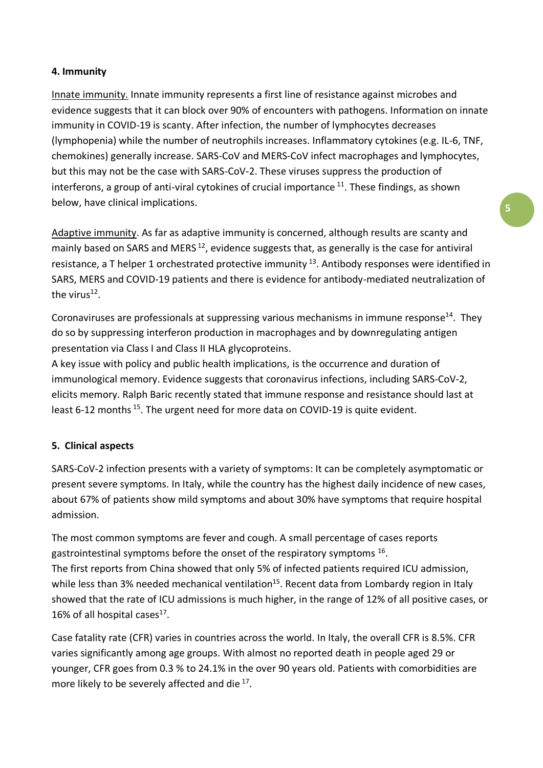### **4. Immunity**

Innate immunity. Innate immunity represents a first line of resistance against microbes and evidence suggests that it can block over 90% of encounters with pathogens. Information on innate immunity in COVID-19 is scanty. After infection, the number of lymphocytes decreases (lymphopenia) while the number of neutrophils increases. Inflammatory cytokines (e.g. IL-6, TNF, chemokines) generally increase. SARS-CoV and MERS-CoV infect macrophages and lymphocytes, but this may not be the case with SARS-CoV-2. These viruses suppress the production of interferons, a group of anti-viral cytokines of crucial importance  $11$ . These findings, as shown below, have clinical implications.

Adaptive immunity. As far as adaptive immunity is concerned, although results are scanty and mainly based on SARS and MERS<sup>12</sup>, evidence suggests that, as generally is the case for antiviral resistance, a T helper 1 orchestrated protective immunity  $^{13}$ . Antibody responses were identified in SARS, MERS and COVID-19 patients and there is evidence for antibody-mediated neutralization of the virus<sup>12</sup>.

Coronaviruses are professionals at suppressing various mechanisms in immune response<sup>14</sup>. They do so by suppressing interferon production in macrophages and by downregulating antigen presentation via Class I and Class II HLA glycoproteins.

A key issue with policy and public health implications, is the occurrence and duration of immunological memory. Evidence suggests that coronavirus infections, including SARS-CoV-2, elicits memory. Ralph Baric recently stated that immune response and resistance should last at least 6-12 months<sup>15</sup>. The urgent need for more data on COVID-19 is quite evident.

### **5. Clinical aspects**

SARS-CoV-2 infection presents with a variety of symptoms: It can be completely asymptomatic or present severe symptoms. In Italy, while the country has the highest daily incidence of new cases, about 67% of patients show mild symptoms and about 30% have symptoms that require hospital admission.

The most common symptoms are fever and cough. A small percentage of cases reports gastrointestinal symptoms before the onset of the respiratory symptoms  $^{16}$ . The first reports from China showed that only 5% of infected patients required ICU admission, while less than 3% needed mechanical ventilation<sup>15</sup>. Recent data from Lombardy region in Italy showed that the rate of ICU admissions is much higher, in the range of 12% of all positive cases, or 16% of all hospital cases $17$ .

Case fatality rate (CFR) varies in countries across the world. In Italy, the overall CFR is 8.5%. CFR varies significantly among age groups. With almost no reported death in people aged 29 or younger, CFR goes from 0.3 % to 24.1% in the over 90 years old. Patients with comorbidities are more likely to be severely affected and die  $17$ .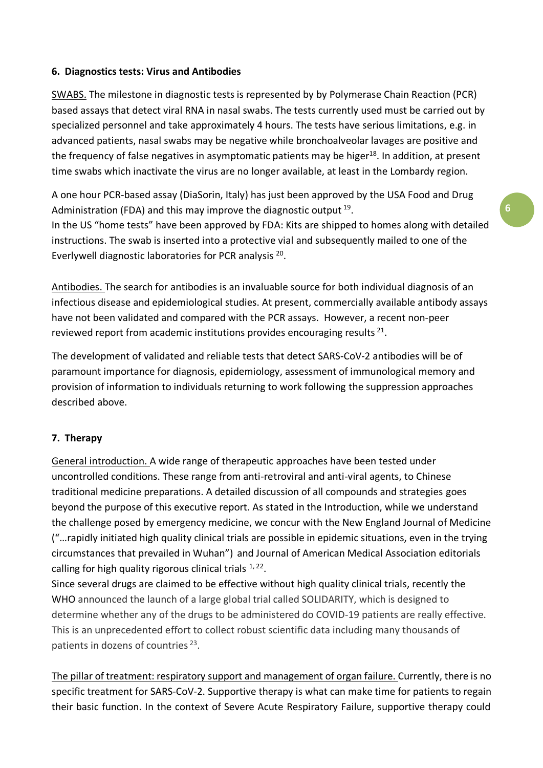### **6. Diagnostics tests: Virus and Antibodies**

SWABS. The milestone in diagnostic tests is represented by by Polymerase Chain Reaction (PCR) based assays that detect viral RNA in nasal swabs. The tests currently used must be carried out by specialized personnel and take approximately 4 hours. The tests have serious limitations, e.g. in advanced patients, nasal swabs may be negative while bronchoalveolar lavages are positive and the frequency of false negatives in asymptomatic patients may be higer<sup>18</sup>. In addition, at present time swabs which inactivate the virus are no longer available, at least in the Lombardy region.

A one hour PCR-based assay (DiaSorin, Italy) has just been approved by the USA Food and Drug Administration (FDA) and this may improve the diagnostic output <sup>19</sup>.

In the US "home tests" have been approved by FDA: Kits are shipped to homes along with detailed instructions. The swab is inserted into a protective vial and subsequently mailed to one of the Everlywell diagnostic laboratories for PCR analysis<sup>20</sup>.

Antibodies. The search for antibodies is an invaluable source for both individual diagnosis of an infectious disease and epidemiological studies. At present, commercially available antibody assays have not been validated and compared with the PCR assays. However, a recent non-peer reviewed report from academic institutions provides encouraging results  $^{21}$ .

The development of validated and reliable tests that detect SARS-CoV-2 antibodies will be of paramount importance for diagnosis, epidemiology, assessment of immunological memory and provision of information to individuals returning to work following the suppression approaches described above.

# **7. Therapy**

General introduction. A wide range of therapeutic approaches have been tested under uncontrolled conditions. These range from anti-retroviral and anti-viral agents, to Chinese traditional medicine preparations. A detailed discussion of all compounds and strategies goes beyond the purpose of this executive report. As stated in the Introduction, while we understand the challenge posed by emergency medicine, we concur with the New England Journal of Medicine ("…rapidly initiated high quality clinical trials are possible in epidemic situations, even in the trying circumstances that prevailed in Wuhan") and Journal of American Medical Association editorials calling for high quality rigorous clinical trials  $1, 22$ .

Since several drugs are claimed to be effective without high quality clinical trials, recently the WHO announced the launch of a large global trial called SOLIDARITY, which is designed to determine whether any of the drugs to be administered do COVID-19 patients are really effective. This is an unprecedented effort to collect robust scientific data including many thousands of patients in dozens of countries<sup>23</sup>.

The pillar of treatment: respiratory support and management of organ failure. Currently, there is no specific treatment for SARS-CoV-2. Supportive therapy is what can make time for patients to regain their basic function. In the context of Severe Acute Respiratory Failure, supportive therapy could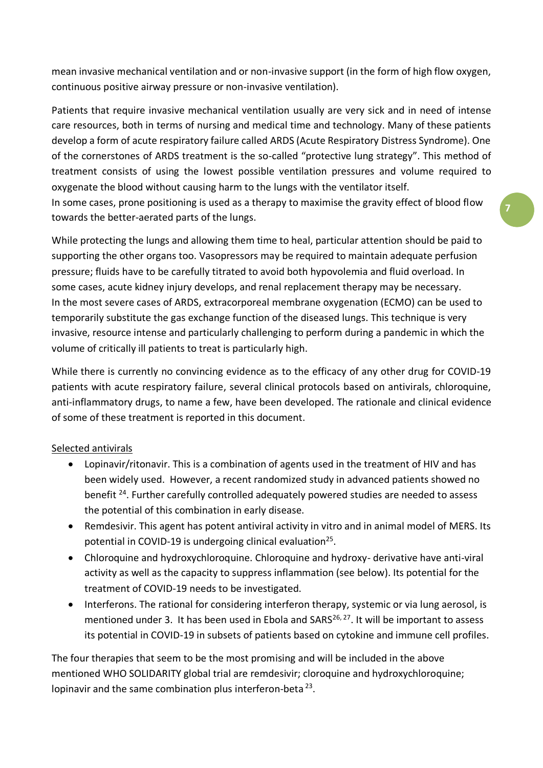mean invasive mechanical ventilation and or non-invasive support (in the form of high flow oxygen, continuous positive airway pressure or non-invasive ventilation).

Patients that require invasive mechanical ventilation usually are very sick and in need of intense care resources, both in terms of nursing and medical time and technology. Many of these patients develop a form of acute respiratory failure called ARDS (Acute Respiratory Distress Syndrome). One of the cornerstones of ARDS treatment is the so-called "protective lung strategy". This method of treatment consists of using the lowest possible ventilation pressures and volume required to oxygenate the blood without causing harm to the lungs with the ventilator itself.

In some cases, prone positioning is used as a therapy to maximise the gravity effect of blood flow towards the better-aerated parts of the lungs.

While protecting the lungs and allowing them time to heal, particular attention should be paid to supporting the other organs too. Vasopressors may be required to maintain adequate perfusion pressure; fluids have to be carefully titrated to avoid both hypovolemia and fluid overload. In some cases, acute kidney injury develops, and renal replacement therapy may be necessary. In the most severe cases of ARDS, extracorporeal membrane oxygenation (ECMO) can be used to temporarily substitute the gas exchange function of the diseased lungs. This technique is very invasive, resource intense and particularly challenging to perform during a pandemic in which the volume of critically ill patients to treat is particularly high.

While there is currently no convincing evidence as to the efficacy of any other drug for COVID-19 patients with acute respiratory failure, several clinical protocols based on antivirals, chloroquine, anti-inflammatory drugs, to name a few, have been developed. The rationale and clinical evidence of some of these treatment is reported in this document.

# Selected antivirals

- Lopinavir/ritonavir. This is a combination of agents used in the treatment of HIV and has been widely used. However, a recent randomized study in advanced patients showed no benefit <sup>24</sup>. Further carefully controlled adequately powered studies are needed to assess the potential of this combination in early disease.
- Remdesivir. This agent has potent antiviral activity in vitro and in animal model of MERS. Its potential in COVID-19 is undergoing clinical evaluation<sup>25</sup>.
- Chloroquine and hydroxychloroquine. Chloroquine and hydroxy- derivative have anti-viral activity as well as the capacity to suppress inflammation (see below). Its potential for the treatment of COVID-19 needs to be investigated.
- Interferons. The rational for considering interferon therapy, systemic or via lung aerosol, is mentioned under 3. It has been used in Ebola and  $SARS^{26, 27}$ . It will be important to assess its potential in COVID-19 in subsets of patients based on cytokine and immune cell profiles.

The four therapies that seem to be the most promising and will be included in the above mentioned WHO SOLIDARITY global trial are remdesivir; cloroquine and hydroxychloroquine; lopinavir and the same combination plus interferon-beta<sup>23</sup>.

**7**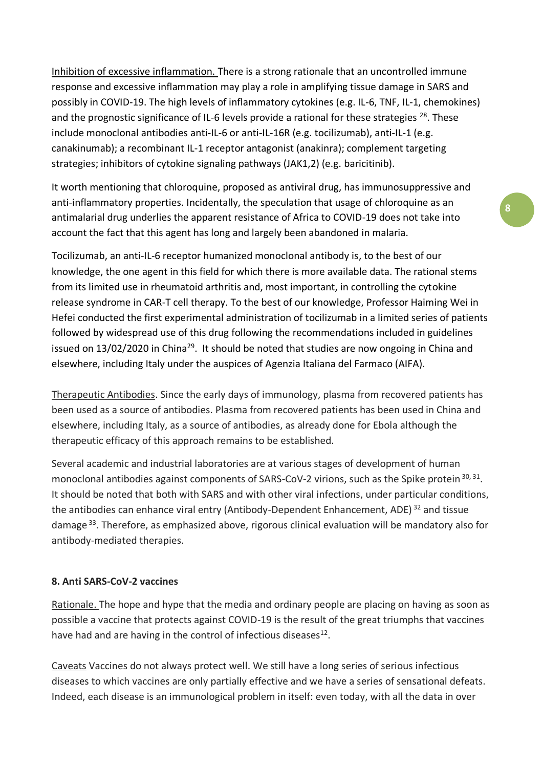Inhibition of excessive inflammation. There is a strong rationale that an uncontrolled immune response and excessive inflammation may play a role in amplifying tissue damage in SARS and possibly in COVID-19. The high levels of inflammatory cytokines (e.g. IL-6, TNF, IL-1, chemokines) and the prognostic significance of IL-6 levels provide a rational for these strategies  $^{28}$ . These include monoclonal antibodies anti-IL-6 or anti-IL-16R (e.g. tocilizumab), anti-IL-1 (e.g. canakinumab); a recombinant IL-1 receptor antagonist (anakinra); complement targeting strategies; inhibitors of cytokine signaling pathways (JAK1,2) (e.g. baricitinib).

It worth mentioning that chloroquine, proposed as antiviral drug, has immunosuppressive and anti-inflammatory properties. Incidentally, the speculation that usage of chloroquine as an antimalarial drug underlies the apparent resistance of Africa to COVID-19 does not take into account the fact that this agent has long and largely been abandoned in malaria.

Tocilizumab, an anti-IL-6 receptor humanized monoclonal antibody is, to the best of our knowledge, the one agent in this field for which there is more available data. The rational stems from its limited use in rheumatoid arthritis and, most important, in controlling the cytokine release syndrome in CAR-T cell therapy. To the best of our knowledge, Professor Haiming Wei in Hefei conducted the first experimental administration of tocilizumab in a limited series of patients followed by widespread use of this drug following the recommendations included in guidelines issued on  $13/02/2020$  in China<sup>29</sup>. It should be noted that studies are now ongoing in China and elsewhere, including Italy under the auspices of Agenzia Italiana del Farmaco (AIFA).

Therapeutic Antibodies. Since the early days of immunology, plasma from recovered patients has been used as a source of antibodies. Plasma from recovered patients has been used in China and elsewhere, including Italy, as a source of antibodies, as already done for Ebola although the therapeutic efficacy of this approach remains to be established.

Several academic and industrial laboratories are at various stages of development of human monoclonal antibodies against components of SARS-CoV-2 virions, such as the Spike protein <sup>30, 31</sup>. It should be noted that both with SARS and with other viral infections, under particular conditions, the antibodies can enhance viral entry (Antibody-Dependent Enhancement, ADE)<sup>32</sup> and tissue damage<sup>33</sup>. Therefore, as emphasized above, rigorous clinical evaluation will be mandatory also for antibody-mediated therapies.

### **8. Anti SARS-CoV-2 vaccines**

Rationale. The hope and hype that the media and ordinary people are placing on having as soon as possible a vaccine that protects against COVID-19 is the result of the great triumphs that vaccines have had and are having in the control of infectious diseases $^{12}$ .

Caveats Vaccines do not always protect well. We still have a long series of serious infectious diseases to which vaccines are only partially effective and we have a series of sensational defeats. Indeed, each disease is an immunological problem in itself: even today, with all the data in over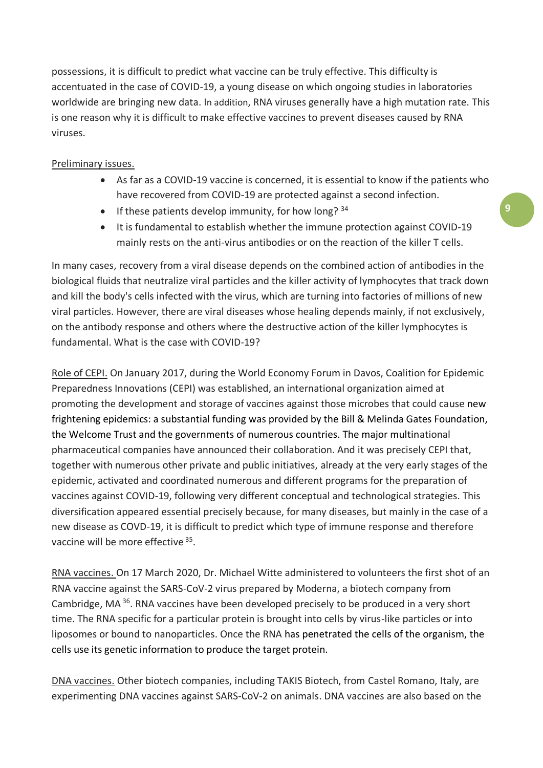possessions, it is difficult to predict what vaccine can be truly effective. This difficulty is accentuated in the case of COVID-19, a young disease on which ongoing studies in laboratories worldwide are bringing new data. In addition, RNA viruses generally have a high mutation rate. This is one reason why it is difficult to make effective vaccines to prevent diseases caused by RNA viruses.

# Preliminary issues.

- As far as a COVID-19 vaccine is concerned, it is essential to know if the patients who have recovered from COVID-19 are protected against a second infection.
- If these patients develop immunity, for how long?  $34$
- It is fundamental to establish whether the immune protection against COVID-19 mainly rests on the anti-virus antibodies or on the reaction of the killer T cells.

In many cases, recovery from a viral disease depends on the combined action of antibodies in the biological fluids that neutralize viral particles and the killer activity of lymphocytes that track down and kill the body's cells infected with the virus, which are turning into factories of millions of new viral particles. However, there are viral diseases whose healing depends mainly, if not exclusively, on the antibody response and others where the destructive action of the killer lymphocytes is fundamental. What is the case with COVID-19?

Role of CEPI. On January 2017, during the World Economy Forum in Davos, Coalition for Epidemic Preparedness Innovations (CEPI) was established, an international organization aimed at promoting the development and storage of vaccines against those microbes that could cause new frightening epidemics: a substantial funding was provided by the Bill & Melinda Gates Foundation, the Welcome Trust and the governments of numerous countries. The major multinational pharmaceutical companies have announced their collaboration. And it was precisely CEPI that, together with numerous other private and public initiatives, already at the very early stages of the epidemic, activated and coordinated numerous and different programs for the preparation of vaccines against COVID-19, following very different conceptual and technological strategies. This diversification appeared essential precisely because, for many diseases, but mainly in the case of a new disease as COVD-19, it is difficult to predict which type of immune response and therefore vaccine will be more effective <sup>35</sup>.

RNA vaccines. On 17 March 2020, Dr. Michael Witte administered to volunteers the first shot of an RNA vaccine against the SARS-CoV-2 virus prepared by Moderna, a biotech company from Cambridge, MA<sup>36</sup>. RNA vaccines have been developed precisely to be produced in a very short time. The RNA specific for a particular protein is brought into cells by virus-like particles or into liposomes or bound to nanoparticles. Once the RNA has penetrated the cells of the organism, the cells use its genetic information to produce the target protein.

DNA vaccines. Other biotech companies, including TAKIS Biotech, from Castel Romano, Italy, are experimenting DNA vaccines against SARS-CoV-2 on animals. DNA vaccines are also based on the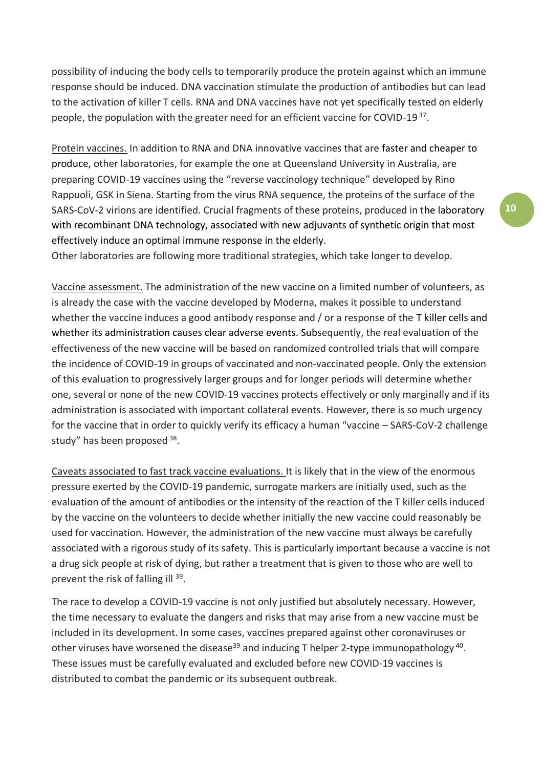possibility of inducing the body cells to temporarily produce the protein against which an immune response should be induced. DNA vaccination stimulate the production of antibodies but can lead to the activation of killer T cells. RNA and DNA vaccines have not yet specifically tested on elderly people, the population with the greater need for an efficient vaccine for COVID-19<sup>37</sup>.

Protein vaccines. In addition to RNA and DNA innovative vaccines that are faster and cheaper to produce, other laboratories, for example the one at Queensland University in Australia, are preparing COVID-19 vaccines using the "reverse vaccinology technique" developed by Rino Rappuoli, GSK in Siena. Starting from the virus RNA sequence, the proteins of the surface of the SARS-CoV-2 virions are identified. Crucial fragments of these proteins, produced in the laboratory with recombinant DNA technology, associated with new adjuvants of synthetic origin that most effectively induce an optimal immune response in the elderly.

Other laboratories are following more traditional strategies, which take longer to develop.

Vaccine assessment. The administration of the new vaccine on a limited number of volunteers, as is already the case with the vaccine developed by Moderna, makes it possible to understand whether the vaccine induces a good antibody response and / or a response of the T killer cells and whether its administration causes clear adverse events. Subsequently, the real evaluation of the effectiveness of the new vaccine will be based on randomized controlled trials that will compare the incidence of COVID-19 in groups of vaccinated and non-vaccinated people. Only the extension of this evaluation to progressively larger groups and for longer periods will determine whether one, several or none of the new COVID-19 vaccines protects effectively or only marginally and if its administration is associated with important collateral events. However, there is so much urgency for the vaccine that in order to quickly verify its efficacy a human "vaccine – SARS-CoV-2 challenge study" has been proposed 38.

Caveats associated to fast track vaccine evaluations. It is likely that in the view of the enormous pressure exerted by the COVID-19 pandemic, surrogate markers are initially used, such as the evaluation of the amount of antibodies or the intensity of the reaction of the T killer cells induced by the vaccine on the volunteers to decide whether initially the new vaccine could reasonably be used for vaccination. However, the administration of the new vaccine must always be carefully associated with a rigorous study of its safety. This is particularly important because a vaccine is not a drug sick people at risk of dying, but rather a treatment that is given to those who are well to prevent the risk of falling ill <sup>39</sup>.

The race to develop a COVID-19 vaccine is not only justified but absolutely necessary. However, the time necessary to evaluate the dangers and risks that may arise from a new vaccine must be included in its development. In some cases, vaccines prepared against other coronaviruses or other viruses have worsened the disease<sup>39</sup> and inducing T helper 2-type immunopathology<sup>40</sup>. These issues must be carefully evaluated and excluded before new COVID-19 vaccines is distributed to combat the pandemic or its subsequent outbreak.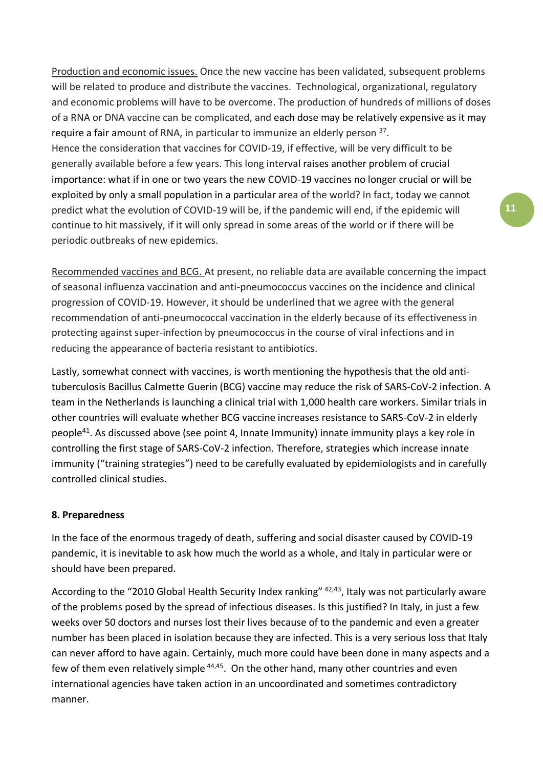Production and economic issues. Once the new vaccine has been validated, subsequent problems will be related to produce and distribute the vaccines. Technological, organizational, regulatory and economic problems will have to be overcome. The production of hundreds of millions of doses of a RNA or DNA vaccine can be complicated, and each dose may be relatively expensive as it may require a fair amount of RNA, in particular to immunize an elderly person <sup>37</sup>. Hence the consideration that vaccines for COVID-19, if effective, will be very difficult to be generally available before a few years. This long interval raises another problem of crucial importance: what if in one or two years the new COVID-19 vaccines no longer crucial or will be exploited by only a small population in a particular area of the world? In fact, today we cannot predict what the evolution of COVID-19 will be, if the pandemic will end, if the epidemic will continue to hit massively, if it will only spread in some areas of the world or if there will be periodic outbreaks of new epidemics.

Recommended vaccines and BCG. At present, no reliable data are available concerning the impact of seasonal influenza vaccination and anti-pneumococcus vaccines on the incidence and clinical progression of COVID-19. However, it should be underlined that we agree with the general recommendation of anti-pneumococcal vaccination in the elderly because of its effectiveness in protecting against super-infection by pneumococcus in the course of viral infections and in reducing the appearance of bacteria resistant to antibiotics.

Lastly, somewhat connect with vaccines, is worth mentioning the hypothesis that the old antituberculosis Bacillus Calmette Guerin (BCG) vaccine may reduce the risk of SARS-CoV-2 infection. A team in the Netherlands is launching a clinical trial with 1,000 health care workers. Similar trials in other countries will evaluate whether BCG vaccine increases resistance to SARS-CoV-2 in elderly people<sup>41</sup>. As discussed above (see point 4, Innate Immunity) innate immunity plays a key role in controlling the first stage of SARS-CoV-2 infection. Therefore, strategies which increase innate immunity ("training strategies") need to be carefully evaluated by epidemiologists and in carefully controlled clinical studies.

# **8. Preparedness**

In the face of the enormous tragedy of death, suffering and social disaster caused by COVID-19 pandemic, it is inevitable to ask how much the world as a whole, and Italy in particular were or should have been prepared.

According to the "2010 Global Health Security Index ranking" <sup>42,43</sup>, Italy was not particularly aware of the problems posed by the spread of infectious diseases. Is this justified? In Italy, in just a few weeks over 50 doctors and nurses lost their lives because of to the pandemic and even a greater number has been placed in isolation because they are infected. This is a very serious loss that Italy can never afford to have again. Certainly, much more could have been done in many aspects and a few of them even relatively simple <sup>44,45</sup>. On the other hand, many other countries and even international agencies have taken action in an uncoordinated and sometimes contradictory manner.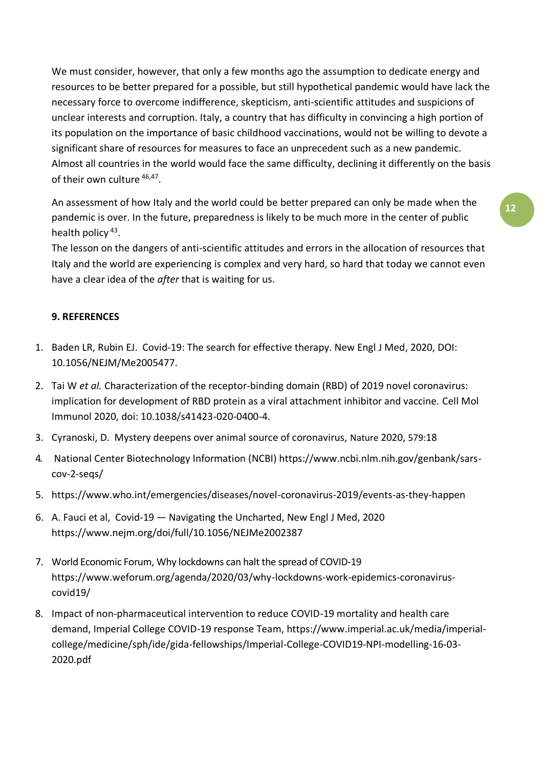We must consider, however, that only a few months ago the assumption to dedicate energy and resources to be better prepared for a possible, but still hypothetical pandemic would have lack the necessary force to overcome indifference, skepticism, anti-scientific attitudes and suspicions of unclear interests and corruption. Italy, a country that has difficulty in convincing a high portion of its population on the importance of basic childhood vaccinations, would not be willing to devote a significant share of resources for measures to face an unprecedent such as a new pandemic. Almost all countries in the world would face the same difficulty, declining it differently on the basis of their own culture <sup>46,47</sup>.

An assessment of how Italy and the world could be better prepared can only be made when the pandemic is over. In the future, preparedness is likely to be much more in the center of public health policy<sup>43</sup>.

The lesson on the dangers of anti-scientific attitudes and errors in the allocation of resources that Italy and the world are experiencing is complex and very hard, so hard that today we cannot even have a clear idea of the *after* that is waiting for us.

# **9. REFERENCES**

- 1. Baden LR, Rubin EJ. Covid-19: The search for effective therapy. New Engl J Med, 2020, DOI: 10.1056/NEJM/Me2005477.
- 2. Tai W *et al.* Characterization of the receptor-binding domain (RBD) of 2019 novel coronavirus: implication for development of RBD protein as a viral attachment inhibitor and vaccine. Cell Mol Immunol 2020, doi: 10.1038/s41423-020-0400-4.
- 3. Cyranoski, D. Mystery deepens over animal source of coronavirus, Nature 2020, 579:18
- 4. National Center Biotechnology Information (NCBI) [https://www.ncbi.nlm.nih.gov/genbank/sars](https://www.ncbi.nlm.nih.gov/genbank/sars-cov-2-seqs/)[cov-2-seqs/](https://www.ncbi.nlm.nih.gov/genbank/sars-cov-2-seqs/)
- 5. <https://www.who.int/emergencies/diseases/novel-coronavirus-2019/events-as-they-happen>
- 6. A. Fauci et al, Covid-19 Navigating the Uncharted, New Engl J Med, 2020 <https://www.nejm.org/doi/full/10.1056/NEJMe2002387>
- 7. World Economic Forum, Why lockdowns can halt the spread of COVID-19 [https://www.weforum.org/agenda/2020/03/why-lockdowns-work-epidemics-coronavirus](https://www.weforum.org/agenda/2020/03/why-lockdowns-work-epidemics-coronavirus-covid19/)[covid19/](https://www.weforum.org/agenda/2020/03/why-lockdowns-work-epidemics-coronavirus-covid19/)
- 8. Impact of non-pharmaceutical intervention to reduce COVID-19 mortality and health care demand, Imperial College COVID-19 response Team, [https://www.imperial.ac.uk/media/imperial](https://www.imperial.ac.uk/media/imperial-college/medicine/sph/ide/gida-fellowships/Imperial-College-COVID19-NPI-modelling-16-03-2020.pdf)[college/medicine/sph/ide/gida-fellowships/Imperial-College-COVID19-NPI-modelling-16-03-](https://www.imperial.ac.uk/media/imperial-college/medicine/sph/ide/gida-fellowships/Imperial-College-COVID19-NPI-modelling-16-03-2020.pdf) [2020.pdf](https://www.imperial.ac.uk/media/imperial-college/medicine/sph/ide/gida-fellowships/Imperial-College-COVID19-NPI-modelling-16-03-2020.pdf)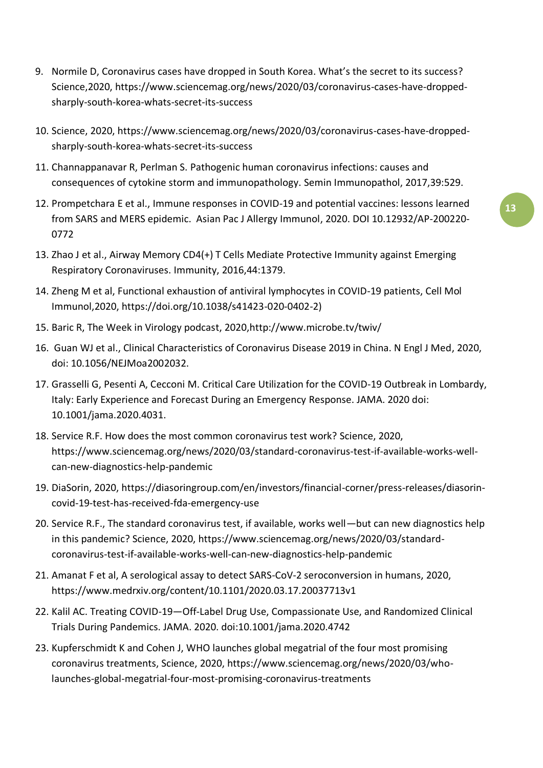- 9. Normile D, Coronavirus cases have dropped in South Korea. What's the secret to its success? Science,2020, [https://www.sciencemag.org/news/2020/03/coronavirus-cases-have-dropped](https://www.sciencemag.org/news/2020/03/coronavirus-cases-have-dropped-sharply-south-korea-whats-secret-its-success)[sharply-south-korea-whats-secret-its-success](https://www.sciencemag.org/news/2020/03/coronavirus-cases-have-dropped-sharply-south-korea-whats-secret-its-success)
- 10. Science, 2020, [https://www.sciencemag.org/news/2020/03/coronavirus-cases-have-dropped](https://www.sciencemag.org/news/2020/03/coronavirus-cases-have-dropped-sharply-south-korea-whats-secret-its-success)[sharply-south-korea-whats-secret-its-success](https://www.sciencemag.org/news/2020/03/coronavirus-cases-have-dropped-sharply-south-korea-whats-secret-its-success)
- 11. Channappanavar R, Perlman S. [Pathogenic human coronavirus infections: causes and](https://www.ncbi.nlm.nih.gov/pubmed/28466096)  [consequences of cytokine storm and immunopathology.](https://www.ncbi.nlm.nih.gov/pubmed/28466096) Semin Immunopathol, 2017,39:529.
- 12. Prompetchara E et al., Immune responses in COVID-19 and potential vaccines: lessons learned from SARS and MERS epidemic. Asian Pac J Allergy Immunol, 2020. DOI 10.12932/AP-200220- 0772
- 13. Zhao J et al., [Airway Memory CD4\(+\) T Cells Mediate Protective Immunity against Emerging](https://www.ncbi.nlm.nih.gov/pubmed/27287409)  [Respiratory Coronaviruses.](https://www.ncbi.nlm.nih.gov/pubmed/27287409) Immunity, 2016,44:1379.
- 14. Zheng M et al, Functional exhaustion of antiviral lymphocytes in COVID-19 patients, Cell Mol Immunol,2020, https://doi.org/10.1038/s41423-020-0402-2)
- 15. Baric R, The Week in Virology podcast, 2020[,http://www.microbe.tv/twiv/](http://www.microbe.tv/twiv/)
- 16. Guan WJ et al., Clinical Characteristics of Coronavirus Disease 2019 in China. N Engl J Med, 2020, doi: 10.1056/NEJMoa2002032.
- 17. Grasselli G, Pesenti A, Cecconi M. Critical Care Utilization for the COVID-19 Outbreak in Lombardy, Italy: Early Experience and Forecast During an Emergency Response. JAMA. 2020 doi: 10.1001/jama.2020.4031.
- 18. Service R.F. How does the most common coronavirus test work? Science, 2020, [https://www.sciencemag.org/news/2020/03/standard-coronavirus-test-if-available-works-well](https://www.sciencemag.org/news/2020/03/standard-coronavirus-test-if-available-works-well-can-new-diagnostics-help-pandemic)[can-new-diagnostics-help-pandemic](https://www.sciencemag.org/news/2020/03/standard-coronavirus-test-if-available-works-well-can-new-diagnostics-help-pandemic)
- 19. DiaSorin, 2020, [https://diasoringroup.com/en/investors/financial-corner/press-releases/diasorin](https://diasoringroup.com/en/investors/financial-corner/press-releases/diasorin-covid-19-test-has-received-fda-emergency-use)[covid-19-test-has-received-fda-emergency-use](https://diasoringroup.com/en/investors/financial-corner/press-releases/diasorin-covid-19-test-has-received-fda-emergency-use)
- 20. Service R.F., The standard coronavirus test, if available, works well—but can new diagnostics help in this pandemic? Science, 2020, [https://www.sciencemag.org/news/2020/03/standard](https://www.sciencemag.org/news/2020/03/standard-coronavirus-test-if-available-works-well-can-new-diagnostics-help-pandemic)[coronavirus-test-if-available-works-well-can-new-diagnostics-help-pandemic](https://www.sciencemag.org/news/2020/03/standard-coronavirus-test-if-available-works-well-can-new-diagnostics-help-pandemic)
- 21. Amanat F et al, A serological assay to detect SARS-CoV-2 seroconversion in humans, 2020, <https://www.medrxiv.org/content/10.1101/2020.03.17.20037713v1>
- 22. Kalil AC. Treating COVID-19—Off-Label Drug Use, Compassionate Use, and Randomized Clinical Trials During Pandemics. JAMA. 2020. doi:10.1001/jama.2020.4742
- 23. [Kupferschmidt](file:///C:/AppData/Local/Microsoft/Windows/INetCache/Content.Outlook/6QVFY4KB/Kupferschmidt) K and Cohen J, WHO launches global megatrial of the four most promising coronavirus treatments, Science, 2020, [https://www.sciencemag.org/news/2020/03/who](https://www.sciencemag.org/news/2020/03/who-launches-global-megatrial-four-most-promising-coronavirus-treatments)[launches-global-megatrial-four-most-promising-coronavirus-treatments](https://www.sciencemag.org/news/2020/03/who-launches-global-megatrial-four-most-promising-coronavirus-treatments)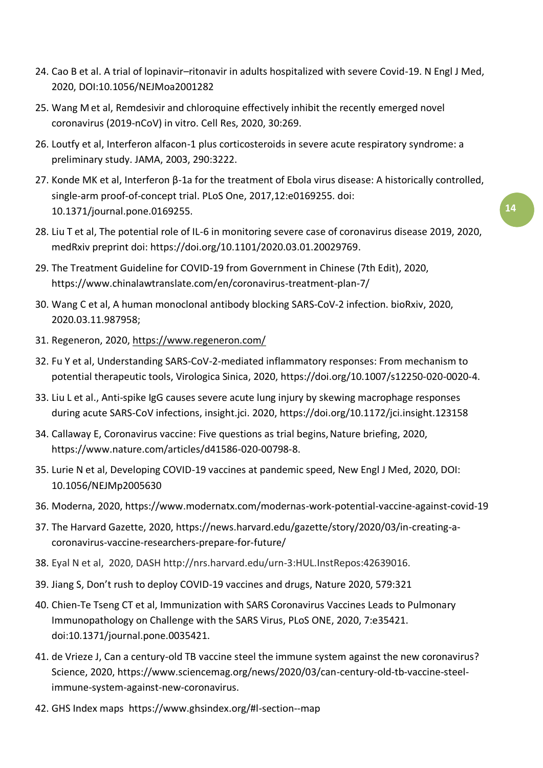- 24. Cao B et al. A trial of lopinavir–ritonavir in adults hospitalized with severe Covid-19. N Engl J Med, 2020, DOI:10.1056/NEJMoa2001282
- 25. [Wang M](https://www.ncbi.nlm.nih.gov/pubmed/?term=Wang%20M%5BAuthor%5D&cauthor=true&cauthor_uid=32020029) et al, Remdesivir and chloroquine effectively inhibit the recently emerged novel coronavirus (2019-nCoV) in vitro. [Cell Res, 2](https://www.ncbi.nlm.nih.gov/pubmed/32020029)020, 30:269.
- 26. Loutfy et al, Interferon alfacon-1 plus corticosteroids in severe acute respiratory syndrome: a preliminary study. JAMA, 2003, 290:3222.
- 27. Konde MK et al, Interferon β-1a for the treatment of Ebola virus disease: A historically controlled, single-arm proof-of-concept trial. PLoS One, 2017,12:e0169255. doi: 10.1371/journal.pone.0169255.
- 28. Liu T et al, The potential role of IL-6 in monitoring severe case of coronavirus disease 2019, 2020, medRxiv preprint doi: [https://doi.org/10.1101/2020.03.01.20029769.](https://doi.org/10.1101/2020.03.01.20029769)
- 29. The Treatment Guideline for COVID-19 from Government in Chinese (7th Edit), 2020, <https://www.chinalawtranslate.com/en/coronavirus-treatment-plan-7/>
- 30. Wang C et al, A human monoclonal antibody blocking SARS-CoV-2 infection. bioRxiv, 2020, 2020.03.11.987958;
- 31. Regeneron, 2020,<https://www.regeneron.com/>
- 32. Fu Y et al, Understanding SARS-CoV-2-mediated inflammatory responses: From mechanism to potential therapeutic tools, Virologica Sinica, 2020, https://doi.org/10.1007/s12250-020-0020-4.
- 33. Liu L et al., Anti-spike IgG causes severe acute lung injury by skewing macrophage responses during acute SARS-CoV infections, insight.jci. 2020, https://doi.org/10.1172/jci.insight.123158
- 34. Callaway E, Coronavirus vaccine: Five questions as trial begins, Nature briefing, 2020, https://www.nature.com/articles/d41586-020-00798-8.
- 35. Lurie N et al, Developing COVID-19 vaccines at pandemic speed, New Engl J Med, 2020, DOI: 10.1056/NEJMp2005630
- 36. Moderna, 2020,<https://www.modernatx.com/modernas-work-potential-vaccine-against-covid-19>
- 37. The Harvard Gazette, 2020, [https://news.harvard.edu/gazette/story/2020/03/in-creating-a](https://news.harvard.edu/gazette/story/2020/03/in-creating-a-coronavirus-vaccine-researchers-prepare-for-future/)[coronavirus-vaccine-researchers-prepare-for-future/](https://news.harvard.edu/gazette/story/2020/03/in-creating-a-coronavirus-vaccine-researchers-prepare-for-future/)
- 38. Eyal N et al, 2020, DASH http://nrs.harvard.edu/urn-3:HUL.InstRepos:42639016.
- 39. Jiang S, Don't rush to deploy COVID-19 vaccines and drugs, Nature 2020, 579:321
- 40. Chien-Te Tseng CT et al, Immunization with SARS Coronavirus Vaccines Leads to Pulmonary Immunopathology on Challenge with the SARS Virus, PLoS ONE, 2020, 7:e35421. doi:10.1371/journal.pone.0035421.
- 41. de Vrieze J, Can a century-old TB vaccine steel the immune system against the new coronavirus? Science, 2020, [https://www.sciencemag.org/news/2020/03/can-century-old-tb-vaccine-steel](https://www.sciencemag.org/news/2020/03/can-century-old-tb-vaccine-steel-immune-system-against-new-coronavirus.)[immune-system-against-new-coronavirus.](https://www.sciencemag.org/news/2020/03/can-century-old-tb-vaccine-steel-immune-system-against-new-coronavirus.)
- 42. GHS Index maps <https://www.ghsindex.org/#l-section--map>

**14**